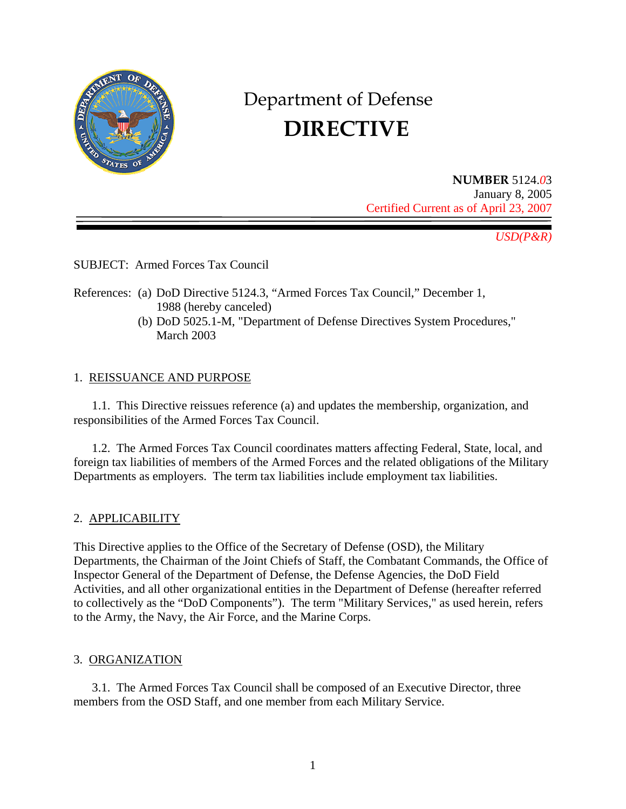

# Department of Defense  **DIRECTIVE**

**NUMBER** 5124.*0*3 January 8, 2005 Certified Current as of April 23, 2007

*USD(P&R)* 

SUBJECT: Armed Forces Tax Council

- References: (a) DoD Directive 5124.3, "Armed Forces Tax Council," December 1, 1988 (hereby canceled)
	- (b) DoD 5025.1-M, "Department of Defense Directives System Procedures," March 2003

## 1. REISSUANCE AND PURPOSE

 1.1. This Directive reissues reference (a) and updates the membership, organization, and responsibilities of the Armed Forces Tax Council.

 1.2. The Armed Forces Tax Council coordinates matters affecting Federal, State, local, and foreign tax liabilities of members of the Armed Forces and the related obligations of the Military Departments as employers. The term tax liabilities include employment tax liabilities.

## 2. APPLICABILITY

This Directive applies to the Office of the Secretary of Defense (OSD), the Military Departments, the Chairman of the Joint Chiefs of Staff, the Combatant Commands, the Office of Inspector General of the Department of Defense, the Defense Agencies, the DoD Field Activities, and all other organizational entities in the Department of Defense (hereafter referred to collectively as the "DoD Components"). The term "Military Services," as used herein, refers to the Army, the Navy, the Air Force, and the Marine Corps.

## 3. ORGANIZATION

3.1. The Armed Forces Tax Council shall be composed of an Executive Director, three members from the OSD Staff, and one member from each Military Service.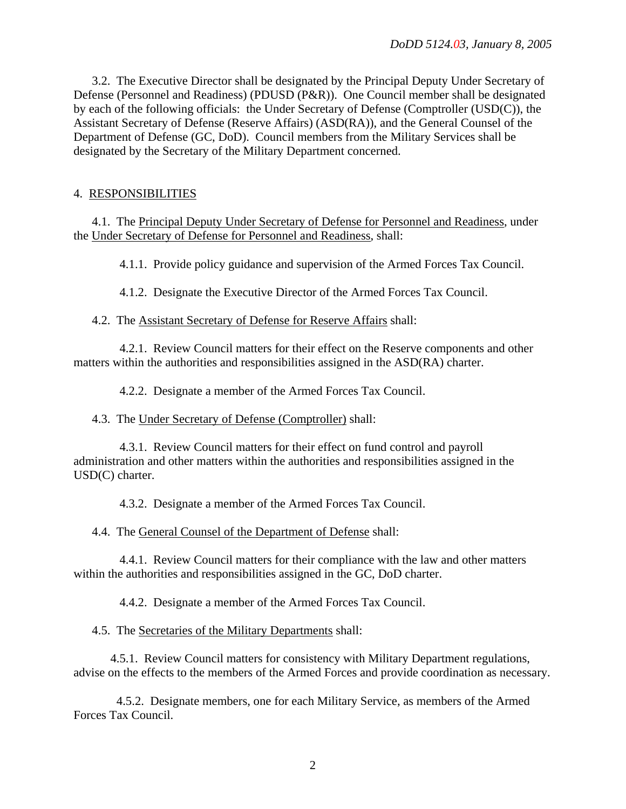3.2. The Executive Director shall be designated by the Principal Deputy Under Secretary of Defense (Personnel and Readiness) (PDUSD (P&R)). One Council member shall be designated by each of the following officials: the Under Secretary of Defense (Comptroller (USD(C)), the Assistant Secretary of Defense (Reserve Affairs) (ASD(RA)), and the General Counsel of the Department of Defense (GC, DoD). Council members from the Military Services shall be designated by the Secretary of the Military Department concerned.

### 4. RESPONSIBILITIES

4.1. The Principal Deputy Under Secretary of Defense for Personnel and Readiness, under the Under Secretary of Defense for Personnel and Readiness, shall:

4.1.1. Provide policy guidance and supervision of the Armed Forces Tax Council.

4.1.2. Designate the Executive Director of the Armed Forces Tax Council.

4.2. The Assistant Secretary of Defense for Reserve Affairs shall:

4.2.1. Review Council matters for their effect on the Reserve components and other matters within the authorities and responsibilities assigned in the ASD(RA) charter.

4.2.2. Designate a member of the Armed Forces Tax Council.

4.3. The Under Secretary of Defense (Comptroller) shall:

4.3.1. Review Council matters for their effect on fund control and payroll administration and other matters within the authorities and responsibilities assigned in the USD(C) charter.

4.3.2. Designate a member of the Armed Forces Tax Council.

4.4. The General Counsel of the Department of Defense shall:

4.4.1. Review Council matters for their compliance with the law and other matters within the authorities and responsibilities assigned in the GC, DoD charter.

4.4.2. Designate a member of the Armed Forces Tax Council.

4.5. The Secretaries of the Military Departments shall:

 4.5.1. Review Council matters for consistency with Military Department regulations, advise on the effects to the members of the Armed Forces and provide coordination as necessary.

4.5.2. Designate members, one for each Military Service, as members of the Armed Forces Tax Council.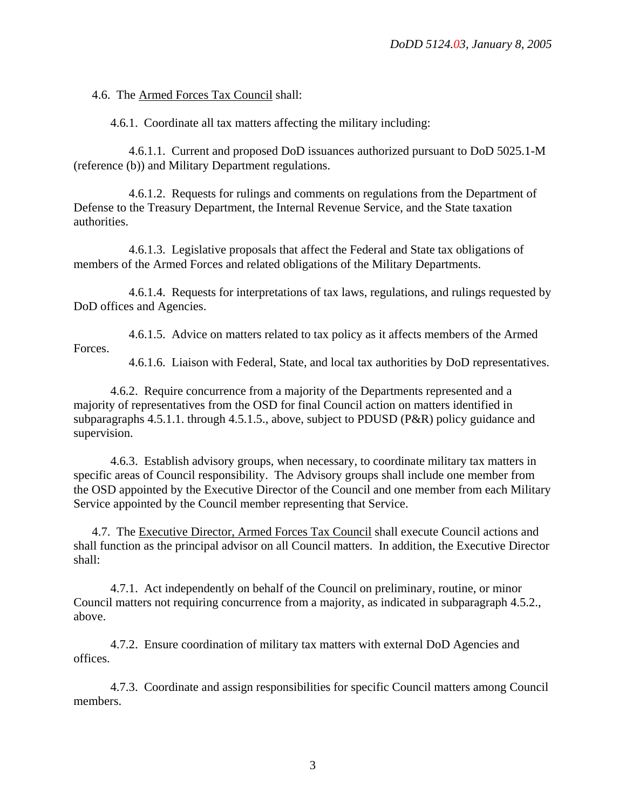4.6. The Armed Forces Tax Council shall:

4.6.1. Coordinate all tax matters affecting the military including:

4.6.1.1. Current and proposed DoD issuances authorized pursuant to DoD 5025.1-M (reference (b)) and Military Department regulations.

4.6.1.2. Requests for rulings and comments on regulations from the Department of Defense to the Treasury Department, the Internal Revenue Service, and the State taxation authorities.

4.6.1.3. Legislative proposals that affect the Federal and State tax obligations of members of the Armed Forces and related obligations of the Military Departments.

4.6.1.4. Requests for interpretations of tax laws, regulations, and rulings requested by DoD offices and Agencies.

4.6.1.5. Advice on matters related to tax policy as it affects members of the Armed Forces.

4.6.1.6. Liaison with Federal, State, and local tax authorities by DoD representatives.

4.6.2. Require concurrence from a majority of the Departments represented and a majority of representatives from the OSD for final Council action on matters identified in subparagraphs 4.5.1.1. through 4.5.1.5., above, subject to PDUSD (P&R) policy guidance and supervision.

4.6.3. Establish advisory groups, when necessary, to coordinate military tax matters in specific areas of Council responsibility. The Advisory groups shall include one member from the OSD appointed by the Executive Director of the Council and one member from each Military Service appointed by the Council member representing that Service.

4.7. The Executive Director, Armed Forces Tax Council shall execute Council actions and shall function as the principal advisor on all Council matters. In addition, the Executive Director shall:

4.7.1. Act independently on behalf of the Council on preliminary, routine, or minor Council matters not requiring concurrence from a majority, as indicated in subparagraph 4.5.2., above.

4.7.2. Ensure coordination of military tax matters with external DoD Agencies and offices.

4.7.3. Coordinate and assign responsibilities for specific Council matters among Council members.